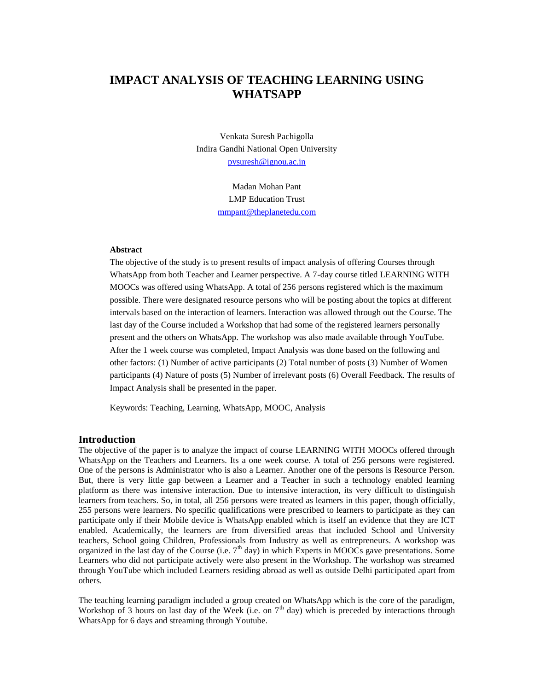# **IMPACT ANALYSIS OF TEACHING LEARNING USING WHATSAPP**

Venkata Suresh Pachigolla Indira Gandhi National Open University [pvsuresh@ignou.ac.in](mailto:pvsuresh@ignou.ac.in)

> Madan Mohan Pant LMP Education Trust [mmpant@theplanetedu.com](mailto:mmpant@theplanetedu.com)

#### **Abstract**

The objective of the study is to present results of impact analysis of offering Courses through WhatsApp from both Teacher and Learner perspective. A 7-day course titled LEARNING WITH MOOCs was offered using WhatsApp. A total of 256 persons registered which is the maximum possible. There were designated resource persons who will be posting about the topics at different intervals based on the interaction of learners. Interaction was allowed through out the Course. The last day of the Course included a Workshop that had some of the registered learners personally present and the others on WhatsApp. The workshop was also made available through YouTube. After the 1 week course was completed, Impact Analysis was done based on the following and other factors: (1) Number of active participants (2) Total number of posts (3) Number of Women participants (4) Nature of posts (5) Number of irrelevant posts (6) Overall Feedback. The results of Impact Analysis shall be presented in the paper.

Keywords: Teaching, Learning, WhatsApp, MOOC, Analysis

#### **Introduction**

The objective of the paper is to analyze the impact of course LEARNING WITH MOOCs offered through WhatsApp on the Teachers and Learners. Its a one week course. A total of 256 persons were registered. One of the persons is Administrator who is also a Learner. Another one of the persons is Resource Person. But, there is very little gap between a Learner and a Teacher in such a technology enabled learning platform as there was intensive interaction. Due to intensive interaction, its very difficult to distinguish learners from teachers. So, in total, all 256 persons were treated as learners in this paper, though officially, 255 persons were learners. No specific qualifications were prescribed to learners to participate as they can participate only if their Mobile device is WhatsApp enabled which is itself an evidence that they are ICT enabled. Academically, the learners are from diversified areas that included School and University teachers, School going Children, Professionals from Industry as well as entrepreneurs. A workshop was organized in the last day of the Course (i.e.  $7<sup>th</sup>$  day) in which Experts in MOOCs gave presentations. Some Learners who did not participate actively were also present in the Workshop. The workshop was streamed through YouTube which included Learners residing abroad as well as outside Delhi participated apart from others.

The teaching learning paradigm included a group created on WhatsApp which is the core of the paradigm, Workshop of 3 hours on last day of the Week (i.e. on  $7<sup>th</sup>$  day) which is preceded by interactions through WhatsApp for 6 days and streaming through Youtube.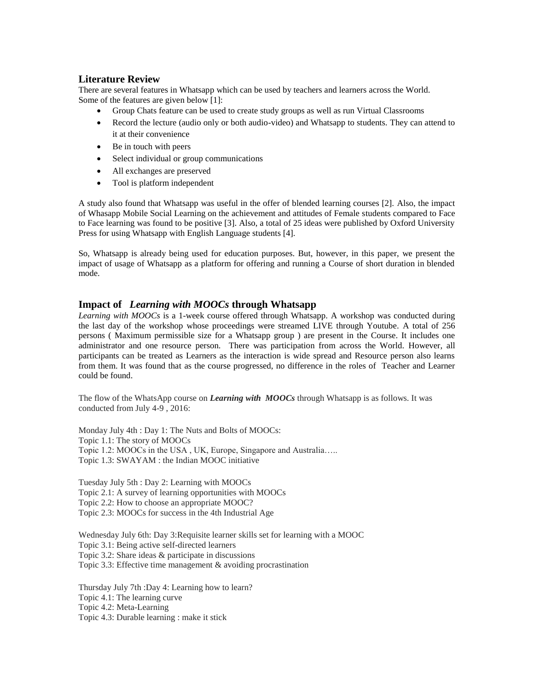## **Literature Review**

There are several features in Whatsapp which can be used by teachers and learners across the World. Some of the features are given below [1]:

- Group Chats feature can be used to create study groups as well as run Virtual Classrooms
- Record the lecture (audio only or both audio-video) and Whatsapp to students. They can attend to it at their convenience
- Be in touch with peers
- Select individual or group communications
- All exchanges are preserved
- Tool is platform independent

A study also found that Whatsapp was useful in the offer of blended learning courses [2]. Also, the impact of Whasapp Mobile Social Learning on the achievement and attitudes of Female students compared to Face to Face learning was found to be positive [3]. Also, a total of 25 ideas were published by Oxford University Press for using Whatsapp with English Language students [4].

So, Whatsapp is already being used for education purposes. But, however, in this paper, we present the impact of usage of Whatsapp as a platform for offering and running a Course of short duration in blended mode.

### **Impact of** *Learning with MOOCs* **through Whatsapp**

*Learning with MOOCs* is a 1-week course offered through Whatsapp. A workshop was conducted during the last day of the workshop whose proceedings were streamed LIVE through Youtube. A total of 256 persons ( Maximum permissible size for a Whatsapp group ) are present in the Course. It includes one administrator and one resource person. There was participation from across the World. However, all participants can be treated as Learners as the interaction is wide spread and Resource person also learns from them. It was found that as the course progressed, no difference in the roles of Teacher and Learner could be found.

The flow of the WhatsApp course on *Learning with MOOCs* through Whatsapp is as follows. It was conducted from July 4-9 , 2016:

Monday July 4th : Day 1: The Nuts and Bolts of MOOCs: Topic 1.1: The story of MOOCs Topic 1.2: MOOCs in the USA , UK, Europe, Singapore and Australia….. Topic 1.3: SWAYAM : the Indian MOOC initiative

Tuesday July 5th : Day 2: Learning with MOOCs Topic 2.1: A survey of learning opportunities with MOOCs Topic 2.2: How to choose an appropriate MOOC? Topic 2.3: MOOCs for success in the 4th Industrial Age

Wednesday July 6th: Day 3:Requisite learner skills set for learning with a MOOC Topic 3.1: Being active self-directed learners Topic 3.2: Share ideas & participate in discussions Topic 3.3: Effective time management & avoiding procrastination

Thursday July 7th :Day 4: Learning how to learn? Topic 4.1: The learning curve Topic 4.2: Meta-Learning Topic 4.3: Durable learning : make it stick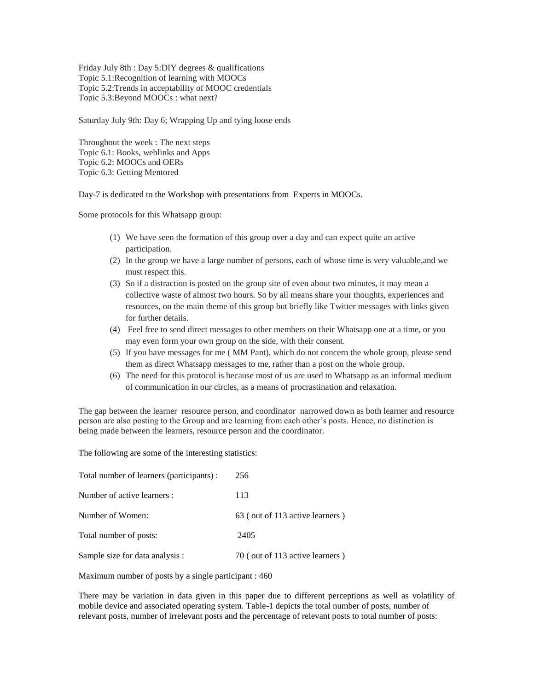Friday July 8th : Day 5:DIY degrees & qualifications Topic 5.1:Recognition of learning with MOOCs Topic 5.2:Trends in acceptability of MOOC credentials Topic 5.3:Beyond MOOCs : what next?

Saturday July 9th: Day 6; Wrapping Up and tying loose ends

Throughout the week : The next steps Topic 6.1: Books, weblinks and Apps Topic 6.2: MOOCs and OERs Topic 6.3: Getting Mentored

Day-7 is dedicated to the Workshop with presentations from Experts in MOOCs.

Some protocols for this Whatsapp group:

- (1) We have seen the formation of this group over a day and can expect quite an active participation.
- (2) In the group we have a large number of persons, each of whose time is very valuable,and we must respect this.
- (3) So if a distraction is posted on the group site of even about two minutes, it may mean a collective waste of almost two hours. So by all means share your thoughts, experiences and resources, on the main theme of this group but briefly like Twitter messages with links given for further details.
- (4) Feel free to send direct messages to other members on their Whatsapp one at a time, or you may even form your own group on the side, with their consent.
- (5) If you have messages for me ( MM Pant), which do not concern the whole group, please send them as direct Whatsapp messages to me, rather than a post on the whole group.
- (6) The need for this protocol is because most of us are used to Whatsapp as an informal medium of communication in our circles, as a means of procrastination and relaxation.

The gap between the learner resource person, and coordinator narrowed down as both learner and resource person are also posting to the Group and are learning from each other's posts. Hence, no distinction is being made between the learners, resource person and the coordinator.

The following are some of the interesting statistics:

| Total number of learners (participants) : | 256                             |
|-------------------------------------------|---------------------------------|
| Number of active learners :               | 113                             |
| Number of Women:                          | 63 (out of 113 active learners) |
| Total number of posts:                    | 2405                            |
| Sample size for data analysis :           | 70 (out of 113 active learners) |

Maximum number of posts by a single participant : 460

There may be variation in data given in this paper due to different perceptions as well as volatility of mobile device and associated operating system. Table-1 depicts the total number of posts, number of relevant posts, number of irrelevant posts and the percentage of relevant posts to total number of posts: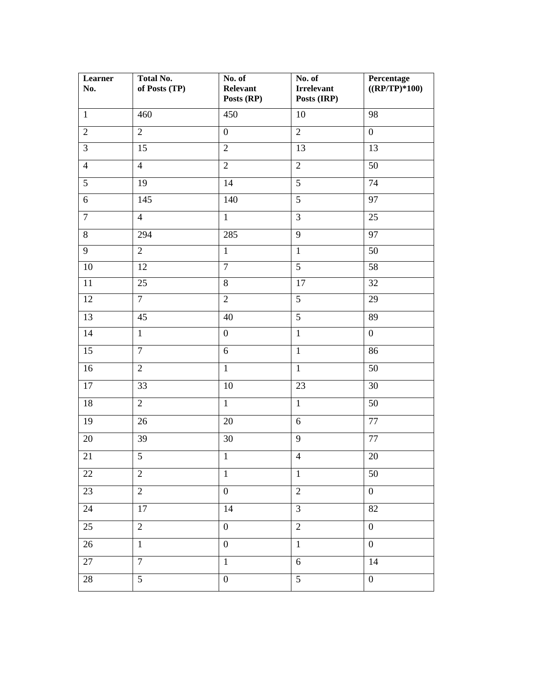| Learner<br>No.  | <b>Total No.</b><br>of Posts (TP) | No. of<br>Relevant<br>Posts (RP) | No. of<br><b>Irrelevant</b><br>Posts (IRP) | Percentage<br>$((RP/TP)*100)$ |
|-----------------|-----------------------------------|----------------------------------|--------------------------------------------|-------------------------------|
| $\mathbf{1}$    | 460                               | 450                              | 10                                         | 98                            |
| $\overline{2}$  | $\overline{2}$                    | $\boldsymbol{0}$                 | $\overline{2}$                             | $\boldsymbol{0}$              |
| $\overline{3}$  | 15                                | $\overline{2}$                   | 13                                         | 13                            |
| $\overline{4}$  | $\overline{4}$                    | $\overline{2}$                   | $\overline{2}$                             | 50                            |
| 5               | 19                                | 14                               | $\overline{5}$                             | 74                            |
| 6               | 145                               | 140                              | $\overline{5}$                             | 97                            |
| $\overline{7}$  | $\overline{4}$                    | $\mathbf{1}$                     | $\overline{3}$                             | 25                            |
| 8               | 294                               | 285                              | 9                                          | 97                            |
| 9               | $\overline{2}$                    | $\mathbf{1}$                     | $\mathbf{1}$                               | 50                            |
| 10              | 12                                | $\overline{7}$                   | $\overline{5}$                             | 58                            |
| $11\,$          | 25                                | $\overline{8}$                   | 17                                         | 32                            |
| 12              | $\overline{7}$                    | $\overline{2}$                   | $\overline{5}$                             | 29                            |
| 13              | 45                                | 40                               | 5                                          | 89                            |
| 14              | $\mathbf{1}$                      | $\boldsymbol{0}$                 | $\overline{1}$                             | $\overline{0}$                |
| 15              | $\overline{7}$                    | $\sqrt{6}$                       | $\mathbf{1}$                               | 86                            |
| 16              | $\overline{2}$                    | $\overline{1}$                   | $\mathbf{1}$                               | 50                            |
| $17\,$          | 33                                | 10                               | $\overline{23}$                            | 30                            |
| $18\,$          | $\sqrt{2}$                        | $\overline{1}$                   | $\mathbf{1}$                               | 50                            |
| 19              | 26                                | 20                               | 6                                          | 77                            |
| 20              | 39                                | 30                               | 9                                          | 77                            |
| 21              | $\overline{5}$                    | $\,1$                            | $\overline{4}$                             | $20\,$                        |
| 22              | $\overline{2}$                    | $\mathbf{1}$                     | $\mathbf{1}$                               | $50\,$                        |
| 23              | $\overline{2}$                    | $\boldsymbol{0}$                 | $\overline{2}$                             | $\boldsymbol{0}$              |
| 24              | 17                                | 14                               | $\overline{3}$                             | 82                            |
| $\overline{25}$ | $\overline{2}$                    | $\overline{0}$                   | $\overline{2}$                             | $\boldsymbol{0}$              |
| $26\,$          | $\mathbf{1}$                      | $\boldsymbol{0}$                 | $\overline{1}$                             | $\boldsymbol{0}$              |
| 27              | $\overline{7}$                    | $\mathbf{1}$                     | $6\,$                                      | 14                            |
| 28              | $\overline{5}$                    | $\boldsymbol{0}$                 | $\overline{5}$                             | $\boldsymbol{0}$              |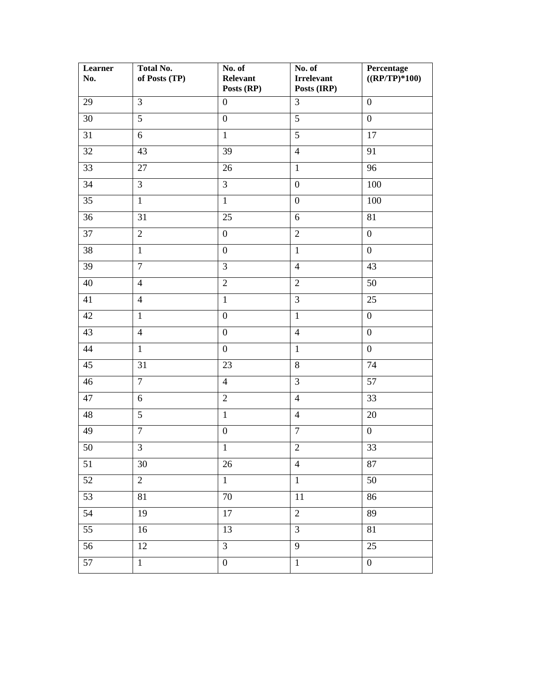| Learner<br>No.  | <b>Total No.</b><br>of Posts (TP) | No. of<br>Relevant<br>Posts (RP) | No. of<br><b>Irrelevant</b><br>Posts (IRP) | Percentage<br>$((RP/TP)*100)$ |
|-----------------|-----------------------------------|----------------------------------|--------------------------------------------|-------------------------------|
| 29              | $\overline{3}$                    | $\boldsymbol{0}$                 | 3                                          | $\boldsymbol{0}$              |
| 30              | $\overline{5}$                    | $\boldsymbol{0}$                 | $\overline{5}$                             | $\overline{0}$                |
| 31              | 6                                 | $\mathbf{1}$                     | $\overline{5}$                             | 17                            |
| 32              | 43                                | 39                               | $\overline{4}$                             | 91                            |
| 33              | 27                                | 26                               | $\mathbf{1}$                               | 96                            |
| $\overline{34}$ | $\overline{3}$                    | $\overline{3}$                   | $\boldsymbol{0}$                           | 100                           |
| 35              | $\mathbf{1}$                      | $\mathbf{1}$                     | $\overline{0}$                             | 100                           |
| 36              | 31                                | 25                               | 6                                          | 81                            |
| 37              | $\overline{2}$                    | $\boldsymbol{0}$                 | $\overline{2}$                             | $\boldsymbol{0}$              |
| 38              | $\mathbf{1}$                      | $\boldsymbol{0}$                 | $\mathbf{1}$                               | $\boldsymbol{0}$              |
| 39              | $\overline{7}$                    | $\overline{3}$                   | $\overline{4}$                             | 43                            |
| 40              | $\overline{4}$                    | $\sqrt{2}$                       | $\overline{2}$                             | 50                            |
| 41              | $\overline{4}$                    | $\overline{1}$                   | $\overline{3}$                             | 25                            |
| 42              | $\mathbf{1}$                      | $\mathbf{0}$                     | $\mathbf{1}$                               | $\overline{0}$                |
| 43              | $\overline{4}$                    | $\boldsymbol{0}$                 | $\overline{4}$                             | $\boldsymbol{0}$              |
| 44              | $\mathbf{1}$                      | $\boldsymbol{0}$                 | $\mathbf{1}$                               | $\boldsymbol{0}$              |
| 45              | 31                                | 23                               | $8\,$                                      | 74                            |
| 46              | $\tau$                            | $\overline{4}$                   | 3                                          | 57                            |
| 47              | 6                                 | $\overline{2}$                   | $\overline{4}$                             | 33                            |
| 48              | $\overline{5}$                    | $\overline{1}$                   | $\overline{4}$                             | 20                            |
| 49              | $\overline{7}$                    | $\mathbf{0}$                     | $\overline{7}$                             | $\overline{0}$                |
| 50              | $\overline{3}$                    | $\overline{1}$                   | $\overline{2}$                             | $\overline{33}$               |
| 51              | 30                                | 26                               | $\overline{4}$                             | $87\,$                        |
| 52              | $\overline{2}$                    | $\mathbf{1}$                     | $\mathbf{1}$                               | 50                            |
| 53              | 81                                | 70                               | 11                                         | 86                            |
| 54              | 19                                | $17\,$                           | $\overline{c}$                             | 89                            |
| 55              | 16                                | 13                               | $\overline{3}$                             | $81\,$                        |
| 56              | $\overline{12}$                   | $\overline{3}$                   | $\overline{9}$                             | $\overline{25}$               |
| 57              | $\,1$                             | $\boldsymbol{0}$                 | $\,1\,$                                    | $\boldsymbol{0}$              |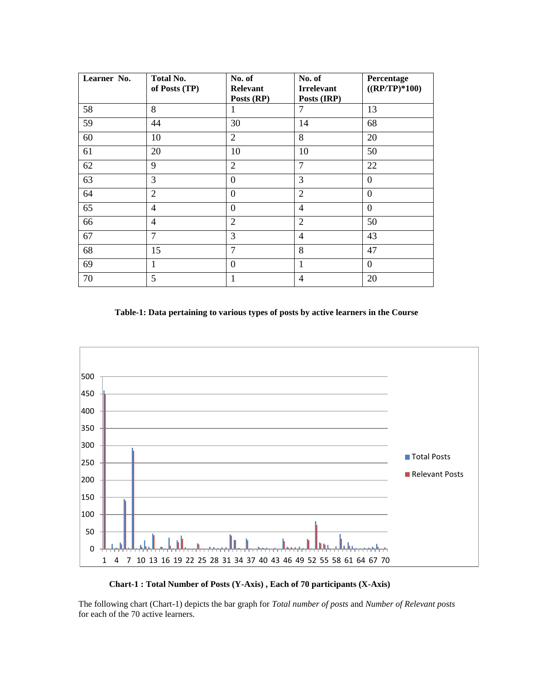| Learner No. | <b>Total No.</b><br>of Posts (TP) | No. of<br><b>Relevant</b><br>Posts (RP) | No. of<br><b>Irrelevant</b><br>Posts (IRP) | Percentage<br>$((RP/TP)*100)$ |
|-------------|-----------------------------------|-----------------------------------------|--------------------------------------------|-------------------------------|
| 58          | 8                                 | 1                                       | 7                                          | 13                            |
| 59          | 44                                | 30                                      | 14                                         | 68                            |
| 60          | 10                                | $\overline{2}$                          | 8                                          | 20                            |
| 61          | 20                                | 10                                      | 10                                         | 50                            |
| 62          | 9                                 | $\overline{2}$                          | $\overline{7}$                             | 22                            |
| 63          | 3                                 | $\theta$                                | 3                                          | $\overline{0}$                |
| 64          | $\overline{2}$                    | $\theta$                                | $\overline{2}$                             | $\overline{0}$                |
| 65          | $\overline{4}$                    | $\boldsymbol{0}$                        | $\overline{4}$                             | $\boldsymbol{0}$              |
| 66          | $\overline{4}$                    | $\overline{2}$                          | $\overline{2}$                             | 50                            |
| 67          | 7                                 | 3                                       | $\overline{4}$                             | 43                            |
| 68          | 15                                | $\overline{7}$                          | 8                                          | 47                            |
| 69          | 1                                 | $\theta$                                | 1                                          | $\Omega$                      |
| 70          | 5                                 | 1                                       | $\overline{4}$                             | 20                            |

### **Table-1: Data pertaining to various types of posts by active learners in the Course**



**Chart-1 : Total Number of Posts (Y-Axis) , Each of 70 participants (X-Axis)** 

The following chart (Chart-1) depicts the bar graph for *Total number of posts* and *Number of Relevant posts*  for each of the 70 active learners.